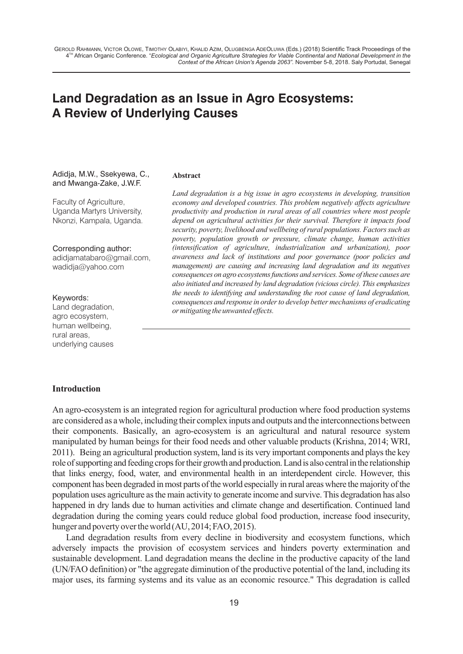# **Land Degradation as an Issue in Agro Ecosystems: A Review of Underlying Causes**

#### Adidja, M.W., Ssekyewa, C., and Mwanga-Zake, J.W.F.

Faculty of Agriculture, Uganda Martyrs University, Nkonzi, Kampala, Uganda.

#### Corresponding author:

adidjamatabaro@gmail.com, wadidja@yahoo.com

#### Keywords:

Land degradation, agro ecosystem, human wellbeing, rural areas, underlying causes

# **Abstract**

*Land degradation is a big issue in agro ecosystems in developing, transition economy and developed countries. This problem negatively affects agriculture productivity and production in rural areas of all countries where most people depend on agricultural activities for their survival. Therefore it impacts food security, poverty, livelihood and wellbeing of rural populations. Factors such as poverty, population growth or pressure, climate change, human activities (intensification of agriculture, industrialization and urbanization), poor awareness and lack of institutions and poor governance (poor policies and management) are causing and increasing land degradation and its negatives consequences on agro ecosystemsfunctions and services. Some ofthese causes are also initiated and increased by land degradation (vicious circle).This emphasizes the needs to identifying and understanding the root cause of land degradation, consequences and response in order to develop better mechanisms of eradicating or mitigating the unwanted effects.*

#### **Introduction**

An agro-ecosystem is an integrated region for agricultural production where food production systems are considered as a whole, including their complex inputs and outputs and the interconnections between their components. Basically, an agro-ecosystem is an agricultural and natural resource system manipulated by human beings for their food needs and other valuable products (Krishna, 2014; WRI, 2011). Being an agricultural production system, land is its very important components and plays the key role of supporting and feeding crops for their growth and production. Land is also central in the relationship that links energy, food, water, and environmental health in an interdependent circle. However, this component has been degraded in most parts of the world especially in rural areas where the majority of the population uses agriculture asthe main activity to generate income and survive.This degradation has also happened in dry lands due to human activities and climate change and desertification. Continued land degradation during the coming years could reduce global food production, increase food insecurity, hunger and poverty over the world (AU, 2014; FAO, 2015).

Land degradation results from every decline in biodiversity and ecosystem functions, which adversely impacts the provision of ecosystem services and hinders poverty extermination and sustainable development. Land degradation means the decline in the productive capacity of the land (UN/FAO definition) or "the aggregate diminution of the productive potential of the land, including its major uses, its farming systems and its value as an economic resource." This degradation is called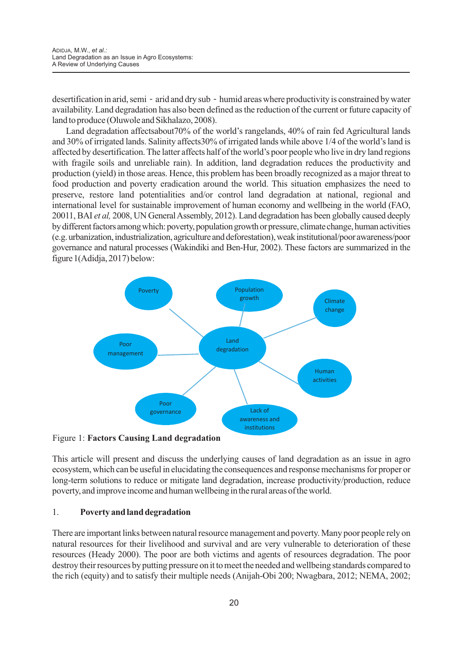desertification in arid, semi- arid and dry sub- humid areas where productivity is constrained by water availability. Land degradation has also been defined as the reduction of the current or future capacity of land to produce (Oluwole and Sikhalazo, 2008).

Land degradation affectsabout70% of the world's rangelands, 40% of rain fed Agricultural lands and 30% of irrigated lands. Salinity affects30% of irrigated lands while above 1/4 of the world's land is affected by desertification. The latter affects half of the world's poor people who live in dry land regions with fragile soils and unreliable rain). In addition, land degradation reduces the productivity and production (yield) in those areas. Hence, this problem has been broadly recognized as a major threat to food production and poverty eradication around the world. This situation emphasizes the need to preserve, restore land potentialities and/or control land degradation at national, regional and international level for sustainable improvement of human economy and wellbeing in the world (FAO, 20011, BAI *et al*, 2008, UN General Assembly, 2012). Land degradation has been globally caused deeply by different factors among which: poverty, population growth or pressure, climate change, human activities (e.g.urbanization,industrialization, agriculture anddeforestation),weakinstitutional/poor awareness/poor governance and natural processes (Wakindiki and Ben-Hur, 2002). These factors are summarized in the figure 1(Adidja, 2017) below:



Figure 1: **Factors Causing Land degradation**

This article will present and discuss the underlying causes of land degradation as an issue in agro ecosystem, which can be useful in elucidating the consequences and response mechanisms for proper or long-term solutions to reduce or mitigate land degradation, increase productivity/production, reduce poverty, and improve income and human wellbeing in the rural areas of the world.

### 1. **Poverty and land degradation**

There are important links between natural resource management and poverty. Many poor people rely on natural resources for their livelihood and survival and are very vulnerable to deterioration of these resources (Heady 2000). The poor are both victims and agents of resources degradation. The poor destroy their resources by putting pressure on it to meet the needed and wellbeing standards compared to the rich (equity) and to satisfy their multiple needs (Anijah-Obi 200; Nwagbara, 2012; NEMA, 2002;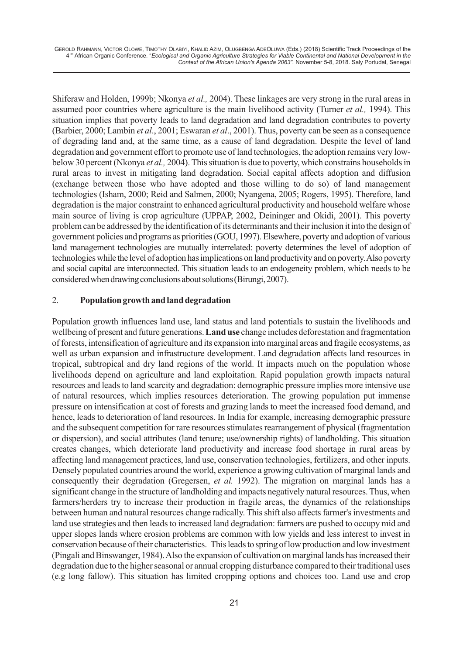Shiferaw and Holden, 1999b; Nkonya *et al.,* 2004). These linkages are very strong in the rural areas in assumed poor countries where agriculture is the main livelihood activity (Turner *et al.,* 1994). This situation implies that poverty leads to land degradation and land degradation contributes to poverty (Barbier, 2000; Lambin *et al*., 2001; Eswaran *et al*., 2001). Thus, poverty can be seen as a consequence of degrading land and, at the same time, as a cause of land degradation. Despite the level of land degradation and government effort to promote use of land technologies, the adoption remains very lowbelow 30 percent (Nkonya *et al.,* 2004). This situation is due to poverty, which constrains households in rural areas to invest in mitigating land degradation. Social capital affects adoption and diffusion (exchange between those who have adopted and those willing to do so) of land management technologies (Isham, 2000; Reid and Salmen, 2000; Nyangena, 2005; Rogers, 1995). Therefore, land degradation is the major constraint to enhanced agricultural productivity and household welfare whose main source of living is crop agriculture (UPPAP, 2002, Deininger and Okidi, 2001). This poverty problem can be addressed by the identification of its determinants and their inclusion it into the design of government policies and programs as priorities(GOU, 1997).Elsewhere, poverty and adoption of various land management technologies are mutually interrelated: poverty determines the level of adoption of technologieswhile the level of adoption hasimplications on land productivity and on poverty.Also poverty and social capital are interconnected. This situation leads to an endogeneity problem, which needs to be considered when drawing conclusions about solutions (Birungi, 2007).

#### 2. **Population growth and land degradation**

Population growth influences land use, land status and land potentials to sustain the livelihoods and wellbeing of present and future generations.**Land use** change includes deforestation and fragmentation of forests, intensification of agriculture and its expansion into marginal areas and fragile ecosystems, as well as urban expansion and infrastructure development. Land degradation affects land resources in tropical, subtropical and dry land regions of the world. It impacts much on the population whose livelihoods depend on agriculture and land exploitation. Rapid population growth impacts natural resources and leads to land scarcity and degradation: demographic pressure implies more intensive use of natural resources, which implies resources deterioration. The growing population put immense pressure on intensification at cost of forests and grazing lands to meet the increased food demand, and hence, leads to deterioration of land resources. In India for example, increasing demographic pressure and the subsequent competition for rare resources stimulates rearrangement of physical (fragmentation or dispersion), and social attributes (land tenure; use/ownership rights) of landholding. This situation creates changes, which deteriorate land productivity and increase food shortage in rural areas by affecting land management practices, land use, conservation technologies, fertilizers, and other inputs. Densely populated countries around the world, experience a growing cultivation of marginal lands and consequently their degradation (Gregersen, *et al.* 1992). The migration on marginal lands has a significant change in the structure of landholding and impacts negatively natural resources. Thus, when farmers/herders try to increase their production in fragile areas, the dynamics of the relationships between human and natural resources change radically. This shift also affects farmer's investments and land use strategies and then leads to increased land degradation: farmers are pushed to occupy mid and upper slopes lands where erosion problems are common with low yields and less interest to invest in conservation because of their characteristics. This leads to spring of low production and low investment (Pingali and Binswanger, 1984). Also the expansion of cultivation on marginal lands has increased their degradation due to the higher seasonal or annual cropping disturbance compared to their traditional uses (e.g long fallow). This situation has limited cropping options and choices too. Land use and crop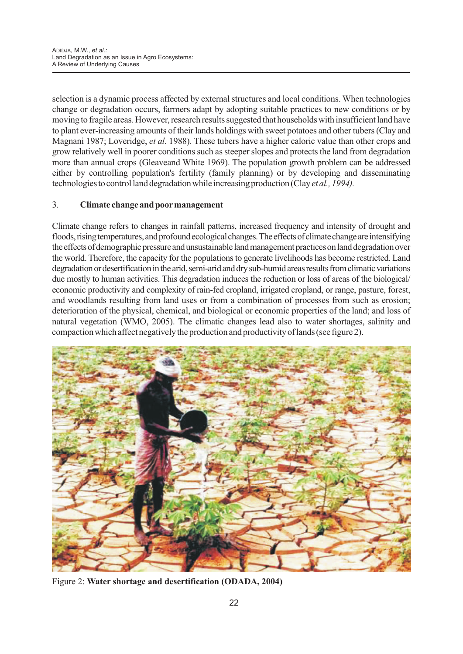selection is a dynamic process affected by external structures and local conditions. When technologies change or degradation occurs, farmers adapt by adopting suitable practices to new conditions or by moving to fragile areas. However, research results suggested that households with insufficient land have to plant ever-increasing amounts of their lands holdings with sweet potatoes and other tubers (Clay and Magnani 1987; Loveridge, *et al.* 1988). These tubers have a higher caloric value than other crops and grow relatively well in poorer conditions such as steeper slopes and protects the land from degradation more than annual crops (Gleaveand White 1969). The population growth problem can be addressed either by controlling population's fertility (family planning) or by developing and disseminating technologies to control land degradation while increasing production (Clay*et al., 1994).*

# 3. **Climate change and poormanagement**

Climate change refers to changes in rainfall patterns, increased frequency and intensity of drought and floods, rising temperatures, and profound ecological changes. The effects of climate change are intensifying the effects of demographic pressure and unsustainable land management practices on land degradation over the world. Therefore, the capacity for the populations to generate livelihoods has become restricted. Land degradation or desertification in the arid, semi-arid and dry sub-humid areas results from climatic variations due mostly to human activities. This degradation induces the reduction or loss of areas of the biological/ economic productivity and complexity of rain-fed cropland, irrigated cropland, or range, pasture, forest, and woodlands resulting from land uses or from a combination of processes from such as erosion; deterioration of the physical, chemical, and biological or economic properties of the land; and loss of natural vegetation (WMO, 2005). The climatic changes lead also to water shortages, salinity and compaction which affect negatively the production and productivity of lands (see figure 2).



Figure 2: **Water shortage and desertification (ODADA, 2004)**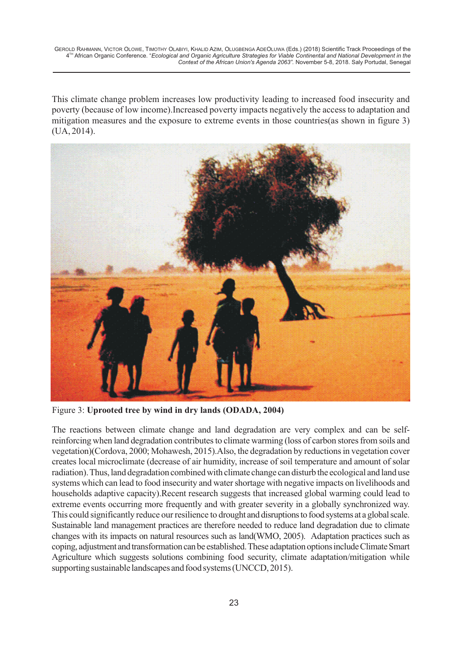This climate change problem increases low productivity leading to increased food insecurity and poverty (because of low income).Increased poverty impacts negatively the access to adaptation and mitigation measures and the exposure to extreme events in those countries(as shown in figure 3) (UA, 2014).



Figure 3: **Uprooted tree by wind in dry lands (ODADA, 2004)**

The reactions between climate change and land degradation are very complex and can be selfreinforcing when land degradation contributes to climate warming (loss of carbon stores from soils and vegetation)(Cordova, 2000; Mohawesh, 2015).Also, the degradation by reductions in vegetation cover creates local microclimate (decrease of air humidity, increase of soil temperature and amount of solar radiation). Thus, land degradation combined with climate change can disturb the ecological and land use systems which can lead to food insecurity and water shortage with negative impacts on livelihoods and households adaptive capacity).Recent research suggests that increased global warming could lead to extreme events occurring more frequently and with greater severity in a globally synchronized way. This could significantly reduce our resilience to drought and disruptions to food systems at a global scale. Sustainable land management practices are therefore needed to reduce land degradation due to climate changes with its impacts on natural resources such as land(WMO, 2005). Adaptation practices such as coping, adjustment and transformation can be established. These adaptation options include Climate Smart Agriculture which suggests solutions combining food security, climate adaptation/mitigation while supporting sustainable landscapes and food systems (UNCCD, 2015).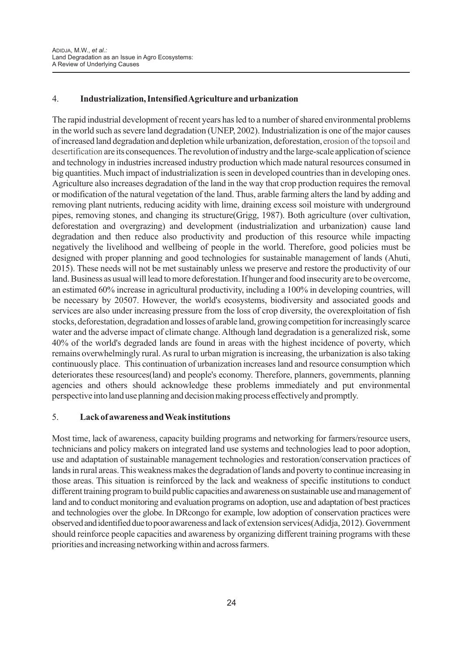# 4. **Industrialization, Intensified Agriculture and urbanization**

The rapid industrial development of recent years has led to a number of shared environmental problems in the world such as severe land degradation (UNEP, 2002). Industrialization is one of the major causes of increased land degradation and depletion while urbanization, deforestation, erosion of the topsoil and desertification are its consequences. The revolution of industry and the large-scale application of science and technology in industries increased industry production which made natural resources consumed in big quantities. Much impact of industrialization is seen in developed countries than in developing ones. Agriculture also increases degradation of the land in the way that crop production requires the removal or modification of the natural vegetation of the land. Thus, arable farming alters the land by adding and removing plant nutrients, reducing acidity with lime, draining excess soil moisture with underground pipes, removing stones, and changing its structure(Grigg, 1987). Both agriculture (over cultivation, deforestation and overgrazing) and development (industrialization and urbanization) cause land degradation and then reduce also productivity and production of this resource while impacting negatively the livelihood and wellbeing of people in the world. Therefore, good policies must be designed with proper planning and good technologies for sustainable management of lands (Ahuti, 2015). These needs will not be met sustainably unless we preserve and restore the productivity of our land. Business as usual will lead to more deforestation. If hunger and food insecurity are to be overcome, an estimated 60% increase in agricultural productivity, including a 100% in developing countries, will be necessary by 20507. However, the world's ecosystems, biodiversity and associated goods and services are also under increasing pressure from the loss of crop diversity, the overexploitation of fish stocks, deforestation, degradation and losses of arable land, growing competition for increasingly scarce water and the adverse impact of climate change. Although land degradation is a generalized risk, some 40% of the world's degraded lands are found in areas with the highest incidence of poverty, which remains overwhelmingly rural. As rural to urban migration is increasing, the urbanization is also taking continuously place. This continuation of urbanization increases land and resource consumption which deteriorates these resources(land) and people's economy. Therefore, planners, governments, planning agencies and others should acknowledge these problems immediately and put environmental perspective into land use planning and decision making process effectively and promptly.

### 5. **Lack of awareness and Weak institutions**

Most time, lack of awareness, capacity building programs and networking for farmers/resource users, technicians and policy makers on integrated land use systems and technologies lead to poor adoption, use and adaptation of sustainable management technologies and restoration/conservation practices of lands in rural areas. This weakness makes the degradation of lands and poverty to continue increasing in those areas. This situation is reinforced by the lack and weakness of specific institutions to conduct different training program to build public capacities and awareness on sustainable use and management of land and to conduct monitoring and evaluation programs on adoption, use and adaptation of best practices and technologies over the globe. In DRcongo for example, low adoption of conservation practices were observedandidentifiedduetopoorawareness and lack of extension services(Adidja, 2012). Government should reinforce people capacities and awareness by organizing different training programs with these priorities and increasing networking within and across farmers.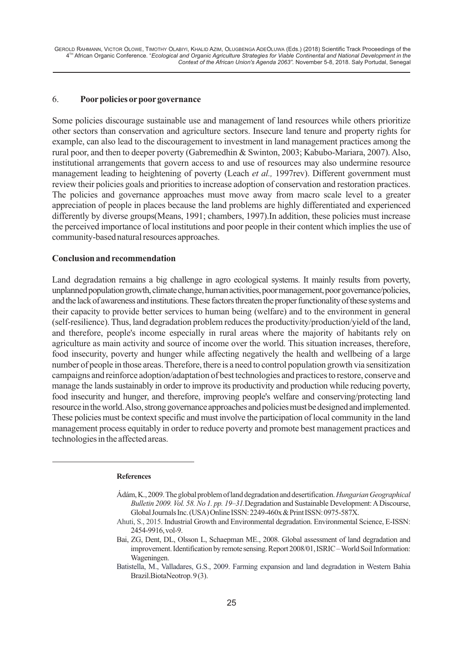#### 6. **Poorpolicies orpoorgovernance**

Some policies discourage sustainable use and management of land resources while others prioritize other sectors than conservation and agriculture sectors. Insecure land tenure and property rights for example, can also lead to the discouragement to investment in land management practices among the rural poor, and then to deeper poverty (Gabremedhin & Swinton, 2003; Kabubo-Mariara, 2007). Also, institutional arrangements that govern access to and use of resources may also undermine resource management leading to heightening of poverty (Leach *et al.,* 1997rev). Different government must review their policies goals and priorities to increase adoption of conservation and restoration practices. The policies and governance approaches must move away from macro scale level to a greater appreciation of people in places because the land problems are highly differentiated and experienced differently by diverse groups(Means, 1991; chambers, 1997). In addition, these policies must increase the perceived importance of local institutions and poor people in their content which implies the use of community-based natural resources approaches.

#### **Conclusion and recommendation**

Land degradation remains a big challenge in agro ecological systems. It mainly results from poverty, unplanned population growth, climate change, human activities, poor management, poor governance/policies, and the lack of awareness and institutions. These factors threaten the proper functionality of these systems and their capacity to provide better services to human being (welfare) and to the environment in general (self-resilience). Thus, land degradation problem reduces the productivity/production/yield of the land, and therefore, people's income especially in rural areas where the majority of habitants rely on agriculture as main activity and source of income over the world. This situation increases, therefore, food insecurity, poverty and hunger while affecting negatively the health and wellbeing of a large number of people in those areas. Therefore, there is a need to control population growth via sensitization campaigns and reinforce adoption/adaptation of best technologies and practices to restore, conserve and manage the lands sustainably in order to improve its productivity and production while reducing poverty, food insecurity and hunger, and therefore, improving people's welfare and conserving/protecting land resource in the world. Also, strong governance approaches and policies must be designed and implemented. These policies must be context specific and must involve the participation of local community in the land management process equitably in order to reduce poverty and promote best management practices and technologies in the affected areas.

#### **References**

Ádám,K.,2009.Theglobalproblemoflanddegradationanddesertification.*HungarianGeographical Bulletin* 2009. *Vol.* 58. *No 1. pp.* 19–31.Degradation and Sustainable Development: A Discourse, Global Journals Inc. (USA) Online ISSN: 2249-460x & Print ISSN: 0975-587X.

Ahuti, S., 2015. Industrial Growth and Environmental degradation. Environmental Science, E-ISSN: 2454-9916,vol-9.

Bai, ZG, Dent, DL, Olsson L, Schaepman ME., 2008. Global assessment of land degradation and improvement. Identification by remote sensing. Report 2008/01, ISRIC – World Soil Information: Wageningen.

Brazil.BiotaNeotrop.9(3). Batistella, M., Valladares, G.S., 2009. Farming expansion and land degradation in Western Bahia